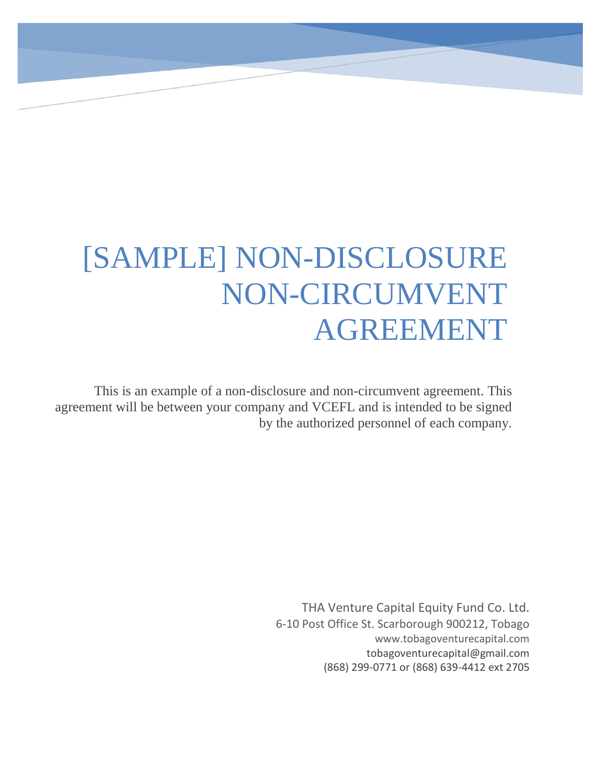# [SAMPLE] NON-DISCLOSURE NON-CIRCUMVENT AGREEMENT

This is an example of a non-disclosure and non-circumvent agreement. This agreement will be between your company and VCEFL and is intended to be signed by the authorized personnel of each company.

> THA Venture Capital Equity Fund Co. Ltd. 6-10 Post Office St. Scarborough 900212, Tobago www.tobagoventurecapital.com tobagoventurecapital@gmail.com (868) 299-0771 or (868) 639-4412 ext 2705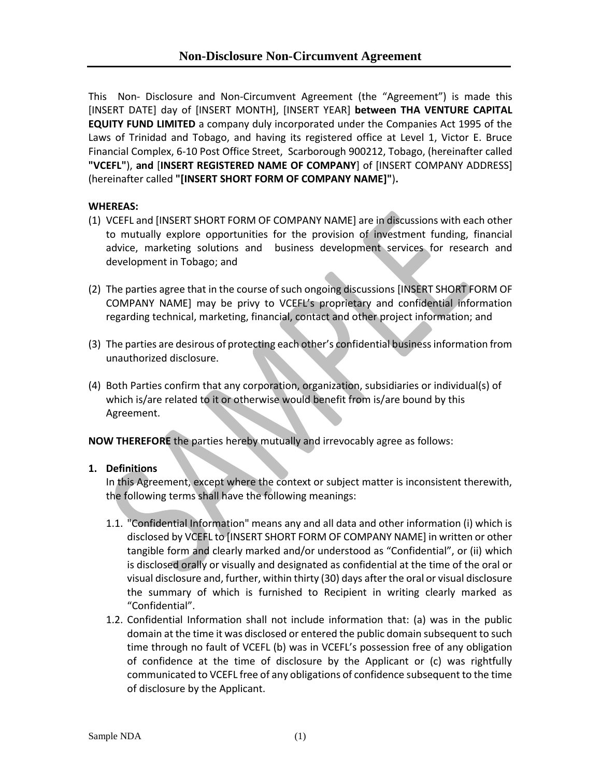This Non- Disclosure and Non-Circumvent Agreement (the "Agreement") is made this [INSERT DATE] day of [INSERT MONTH], [INSERT YEAR] **between THA VENTURE CAPITAL EQUITY FUND LIMITED** a company duly incorporated under the Companies Act 1995 of the Laws of Trinidad and Tobago, and having its registered office at Level 1, Victor E. Bruce Financial Complex, 6-10 Post Office Street, Scarborough 900212, Tobago, (hereinafter called **"VCEFL"**), **and** [**INSERT REGISTERED NAME OF COMPANY**] of [INSERT COMPANY ADDRESS] (hereinafter called **"[INSERT SHORT FORM OF COMPANY NAME]"**)**.**

## **WHEREAS:**

- (1) VCEFL and [INSERT SHORT FORM OF COMPANY NAME] are in discussions with each other to mutually explore opportunities for the provision of investment funding, financial advice, marketing solutions and business development services for research and development in Tobago; and
- (2) The parties agree that in the course of such ongoing discussions [INSERT SHORT FORM OF COMPANY NAME] may be privy to VCEFL's proprietary and confidential information regarding technical, marketing, financial, contact and other project information; and
- (3) The parties are desirous of protecting each other's confidential business information from unauthorized disclosure.
- (4) Both Parties confirm that any corporation, organization, subsidiaries or individual(s) of which is/are related to it or otherwise would benefit from is/are bound by this Agreement.

**NOW THEREFORE** the parties hereby mutually and irrevocably agree as follows:

## **1. Definitions**

In this Agreement, except where the context or subject matter is inconsistent therewith, the following terms shall have the following meanings:

- 1.1. "Confidential Information" means any and all data and other information (i) which is disclosed by VCEFL to [INSERT SHORT FORM OF COMPANY NAME] in written or other tangible form and clearly marked and/or understood as "Confidential", or (ii) which is disclosed orally or visually and designated as confidential at the time of the oral or visual disclosure and, further, within thirty (30) days after the oral or visual disclosure the summary of which is furnished to Recipient in writing clearly marked as "Confidential".
- 1.2. Confidential Information shall not include information that: (a) was in the public domain at the time it was disclosed or entered the public domain subsequent to such time through no fault of VCEFL (b) was in VCEFL's possession free of any obligation of confidence at the time of disclosure by the Applicant or (c) was rightfully communicated to VCEFL free of any obligations of confidence subsequent to the time of disclosure by the Applicant.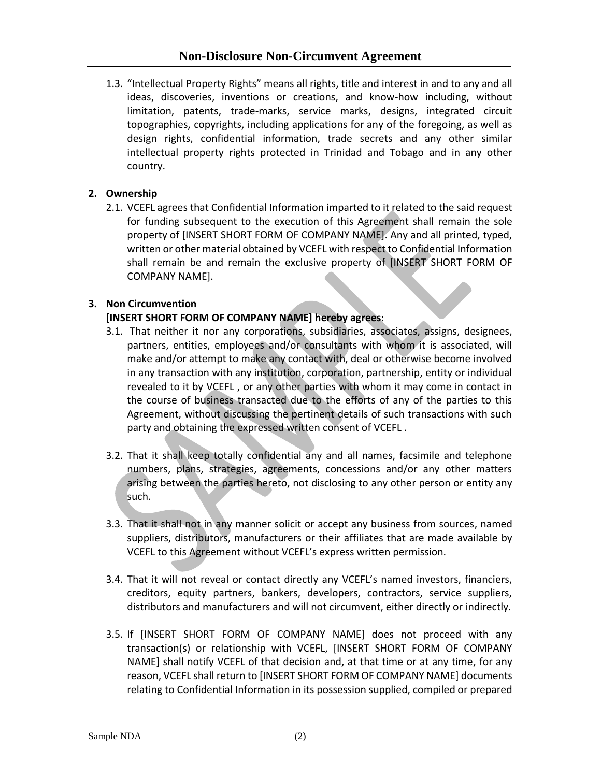# **Non-Disclosure Non-Circumvent Agreement**

1.3. "Intellectual Property Rights" means all rights, title and interest in and to any and all ideas, discoveries, inventions or creations, and know-how including, without limitation, patents, trade-marks, service marks, designs, integrated circuit topographies, copyrights, including applications for any of the foregoing, as well as design rights, confidential information, trade secrets and any other similar intellectual property rights protected in Trinidad and Tobago and in any other country.

# **2. Ownership**

2.1. VCEFL agrees that Confidential Information imparted to it related to the said request for funding subsequent to the execution of this Agreement shall remain the sole property of [INSERT SHORT FORM OF COMPANY NAME]. Any and all printed, typed, written or other material obtained by VCEFL with respect to Confidential Information shall remain be and remain the exclusive property of [INSERT SHORT FORM OF COMPANY NAME].

# **3. Non Circumvention**

# **[INSERT SHORT FORM OF COMPANY NAME] hereby agrees:**

- 3.1. That neither it nor any corporations, subsidiaries, associates, assigns, designees, partners, entities, employees and/or consultants with whom it is associated, will make and/or attempt to make any contact with, deal or otherwise become involved in any transaction with any institution, corporation, partnership, entity or individual revealed to it by VCEFL , or any other parties with whom it may come in contact in the course of business transacted due to the efforts of any of the parties to this Agreement, without discussing the pertinent details of such transactions with such party and obtaining the expressed written consent of VCEFL .
- 3.2. That it shall keep totally confidential any and all names, facsimile and telephone numbers, plans, strategies, agreements, concessions and/or any other matters arising between the parties hereto, not disclosing to any other person or entity any such.
- 3.3. That it shall not in any manner solicit or accept any business from sources, named suppliers, distributors, manufacturers or their affiliates that are made available by VCEFL to this Agreement without VCEFL's express written permission.
- 3.4. That it will not reveal or contact directly any VCEFL's named investors, financiers, creditors, equity partners, bankers, developers, contractors, service suppliers, distributors and manufacturers and will not circumvent, either directly or indirectly.
- 3.5. If [INSERT SHORT FORM OF COMPANY NAME] does not proceed with any transaction(s) or relationship with VCEFL, [INSERT SHORT FORM OF COMPANY NAME] shall notify VCEFL of that decision and, at that time or at any time, for any reason, VCEFL shall return to [INSERT SHORT FORM OF COMPANY NAME] documents relating to Confidential Information in its possession supplied, compiled or prepared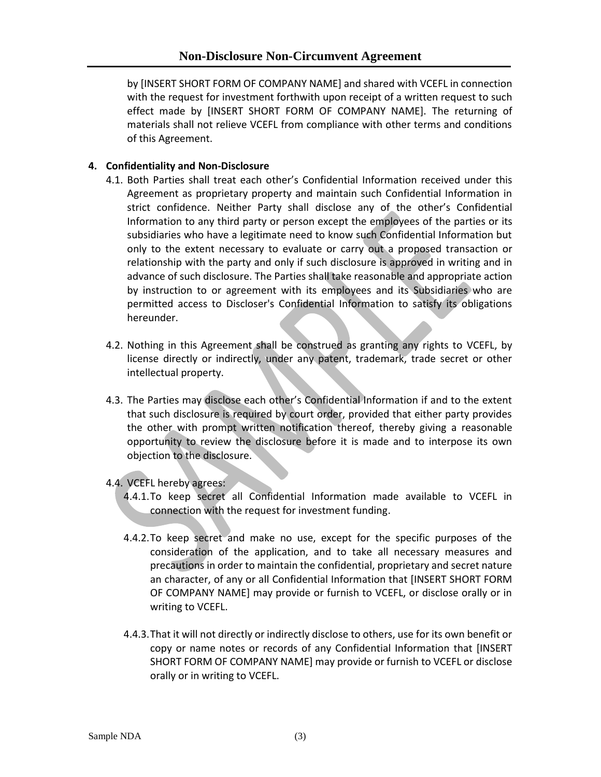by [INSERT SHORT FORM OF COMPANY NAME] and shared with VCEFL in connection with the request for investment forthwith upon receipt of a written request to such effect made by [INSERT SHORT FORM OF COMPANY NAME]. The returning of materials shall not relieve VCEFL from compliance with other terms and conditions of this Agreement.

# **4. Confidentiality and Non-Disclosure**

- 4.1. Both Parties shall treat each other's Confidential Information received under this Agreement as proprietary property and maintain such Confidential Information in strict confidence. Neither Party shall disclose any of the other's Confidential Information to any third party or person except the employees of the parties or its subsidiaries who have a legitimate need to know such Confidential Information but only to the extent necessary to evaluate or carry out a proposed transaction or relationship with the party and only if such disclosure is approved in writing and in advance of such disclosure. The Parties shall take reasonable and appropriate action by instruction to or agreement with its employees and its Subsidiaries who are permitted access to Discloser's Confidential Information to satisfy its obligations hereunder.
- 4.2. Nothing in this Agreement shall be construed as granting any rights to VCEFL, by license directly or indirectly, under any patent, trademark, trade secret or other intellectual property.
- 4.3. The Parties may disclose each other's Confidential Information if and to the extent that such disclosure is required by court order, provided that either party provides the other with prompt written notification thereof, thereby giving a reasonable opportunity to review the disclosure before it is made and to interpose its own objection to the disclosure.
- 4.4. VCEFL hereby agrees:
	- 4.4.1.To keep secret all Confidential Information made available to VCEFL in connection with the request for investment funding.
	- 4.4.2.To keep secret and make no use, except for the specific purposes of the consideration of the application, and to take all necessary measures and precautions in order to maintain the confidential, proprietary and secret nature an character, of any or all Confidential Information that [INSERT SHORT FORM OF COMPANY NAME] may provide or furnish to VCEFL, or disclose orally or in writing to VCEFL.
	- 4.4.3.That it will not directly or indirectly disclose to others, use for its own benefit or copy or name notes or records of any Confidential Information that [INSERT SHORT FORM OF COMPANY NAME] may provide or furnish to VCEFL or disclose orally or in writing to VCEFL.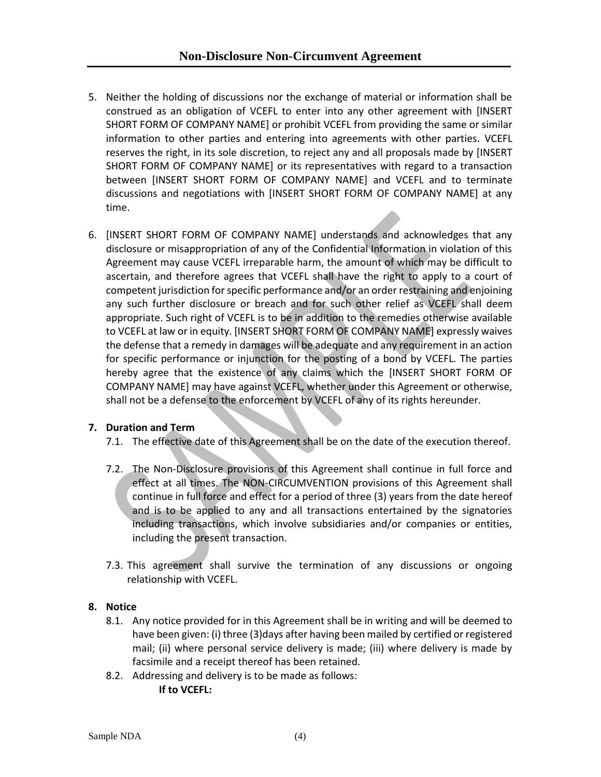- 5. Neither the holding of discussions nor the exchange of material or information shall be construed as an obligation of VCEFL to enter into any other agreement with [INSERT SHORT FORM OF COMPANY NAME] or prohibit VCEFL from providing the same or similar information to other parties and entering into agreements with other parties. VCEFL reserves the right, in its sole discretion, to reject any and all proposals made by [INSERT SHORT FORM OF COMPANY NAME] or its representatives with regard to a transaction between [INSERT SHORT FORM OF COMPANY NAME] and VCEFL and to terminate discussions and negotiations with [INSERT SHORT FORM OF COMPANY NAME] at any time.
- 6. [INSERT SHORT FORM OF COMPANY NAME] understands and acknowledges that any disclosure or misappropriation of any of the Confidential Information in violation of this Agreement may cause VCEFL irreparable harm, the amount of which may be difficult to ascertain, and therefore agrees that VCEFL shall have the right to apply to a court of competent jurisdiction for specific performance and/or an order restraining and enjoining any such further disclosure or breach and for such other relief as VCEFL shall deem appropriate. Such right of VCEFL is to be in addition to the remedies otherwise available to VCEFL at law or in equity. [INSERT SHORT FORM OF COMPANY NAME] expressly waives the defense that a remedy in damages will be adequate and any requirement in an action for specific performance or injunction for the posting of a bond by VCEFL. The parties hereby agree that the existence of any claims which the [INSERT SHORT FORM OF COMPANY NAME] may have against VCEFL, whether under this Agreement or otherwise, shall not be a defense to the enforcement by VCEFL of any of its rights hereunder.

## **7. Duration and Term**

- 7.1. The effective date of this Agreement shall be on the date of the execution thereof.
- 7.2. The Non-Disclosure provisions of this Agreement shall continue in full force and effect at all times. The NON-CIRCUMVENTION provisions of this Agreement shall continue in full force and effect for a period of three (3) years from the date hereof and is to be applied to any and all transactions entertained by the signatories including transactions, which involve subsidiaries and/or companies or entities, including the present transaction.
- 7.3. This agreement shall survive the termination of any discussions or ongoing relationship with VCEFL.

## **8. Notice**

- 8.1. Any notice provided for in this Agreement shall be in writing and will be deemed to have been given: (i) three (3)days after having been mailed by certified or registered mail; (ii) where personal service delivery is made; (iii) where delivery is made by facsimile and a receipt thereof has been retained.
- 8.2. Addressing and delivery is to be made as follows: **If to VCEFL:**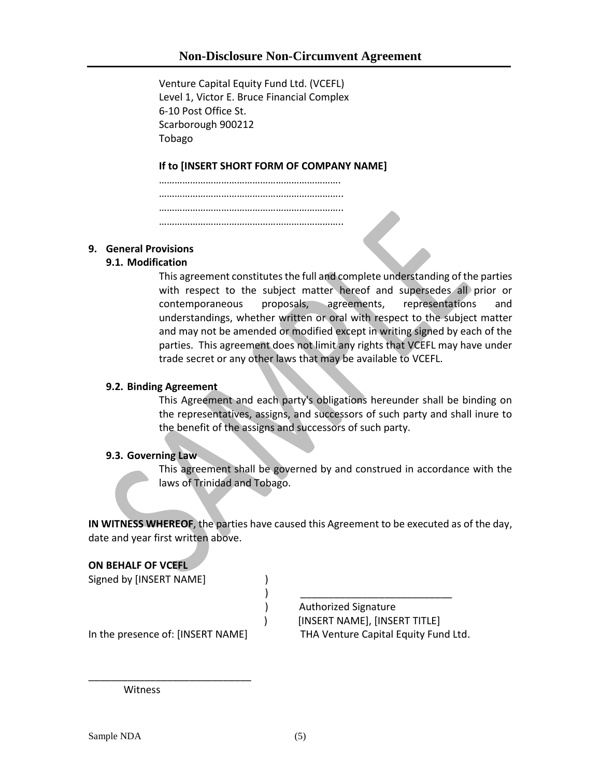Venture Capital Equity Fund Ltd. (VCEFL) Level 1, Victor E. Bruce Financial Complex 6-10 Post Office St. Scarborough 900212 Tobago

## **If to [INSERT SHORT FORM OF COMPANY NAME]**

……………………………………………………………. …………………………………………………………….. ……………………………………………………………… ……………………………………………………………..

#### **9. General Provisions**

#### **9.1. Modification**

This agreement constitutes the full and complete understanding of the parties with respect to the subject matter hereof and supersedes all prior or contemporaneous proposals, agreements, representations and understandings, whether written or oral with respect to the subject matter and may not be amended or modified except in writing signed by each of the parties. This agreement does not limit any rights that VCEFL may have under trade secret or any other laws that may be available to VCEFL.

#### **9.2. Binding Agreement**

This Agreement and each party's obligations hereunder shall be binding on the representatives, assigns, and successors of such party and shall inure to the benefit of the assigns and successors of such party.

#### **9.3. Governing Law**

This agreement shall be governed by and construed in accordance with the laws of Trinidad and Tobago.

**IN WITNESS WHEREOF**, the parties have caused this Agreement to be executed as of the day, date and year first written above.

## **ON BEHALF OF VCEFL**

Signed by [INSERT NAME] (1998)

) \_\_\_\_\_\_\_\_\_\_\_\_\_\_\_\_\_\_\_\_\_\_\_\_\_\_\_ ) Authorized Signature ) [INSERT NAME], [INSERT TITLE] In the presence of: [INSERT NAME] THA Venture Capital Equity Fund Ltd.

\_\_\_\_\_\_\_\_\_\_\_\_\_\_\_\_\_\_\_\_\_\_\_\_\_\_\_\_\_

**Witness**